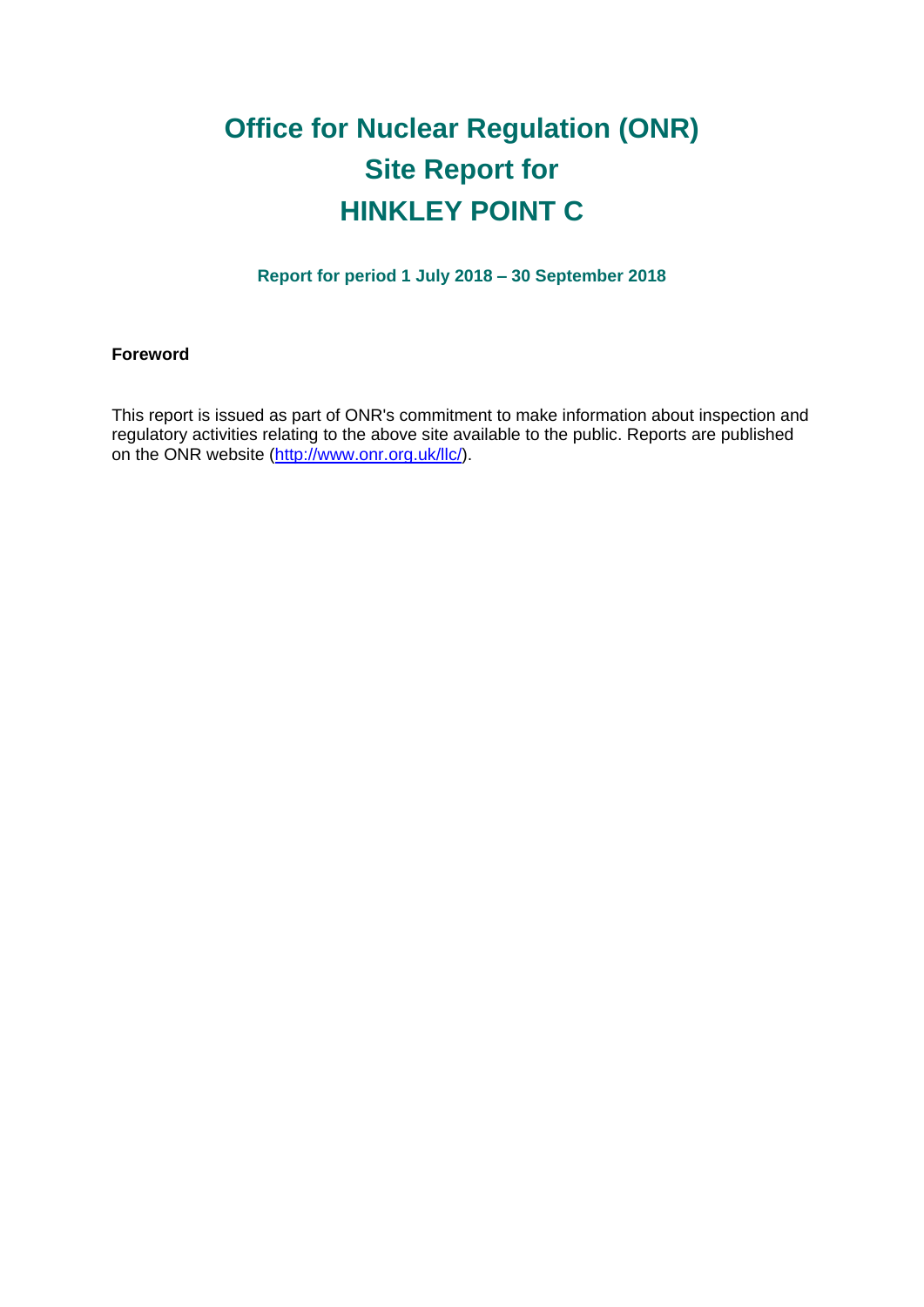# **Office for Nuclear Regulation (ONR) Site Report for HINKLEY POINT C**

**Report for period 1 July 2018 – 30 September 2018**

## **Foreword**

This report is issued as part of ONR's commitment to make information about inspection and regulatory activities relating to the above site available to the public. Reports are published on the ONR website [\(http://www.onr.org.uk/llc/\)](http://www.onr.org.uk/llc/).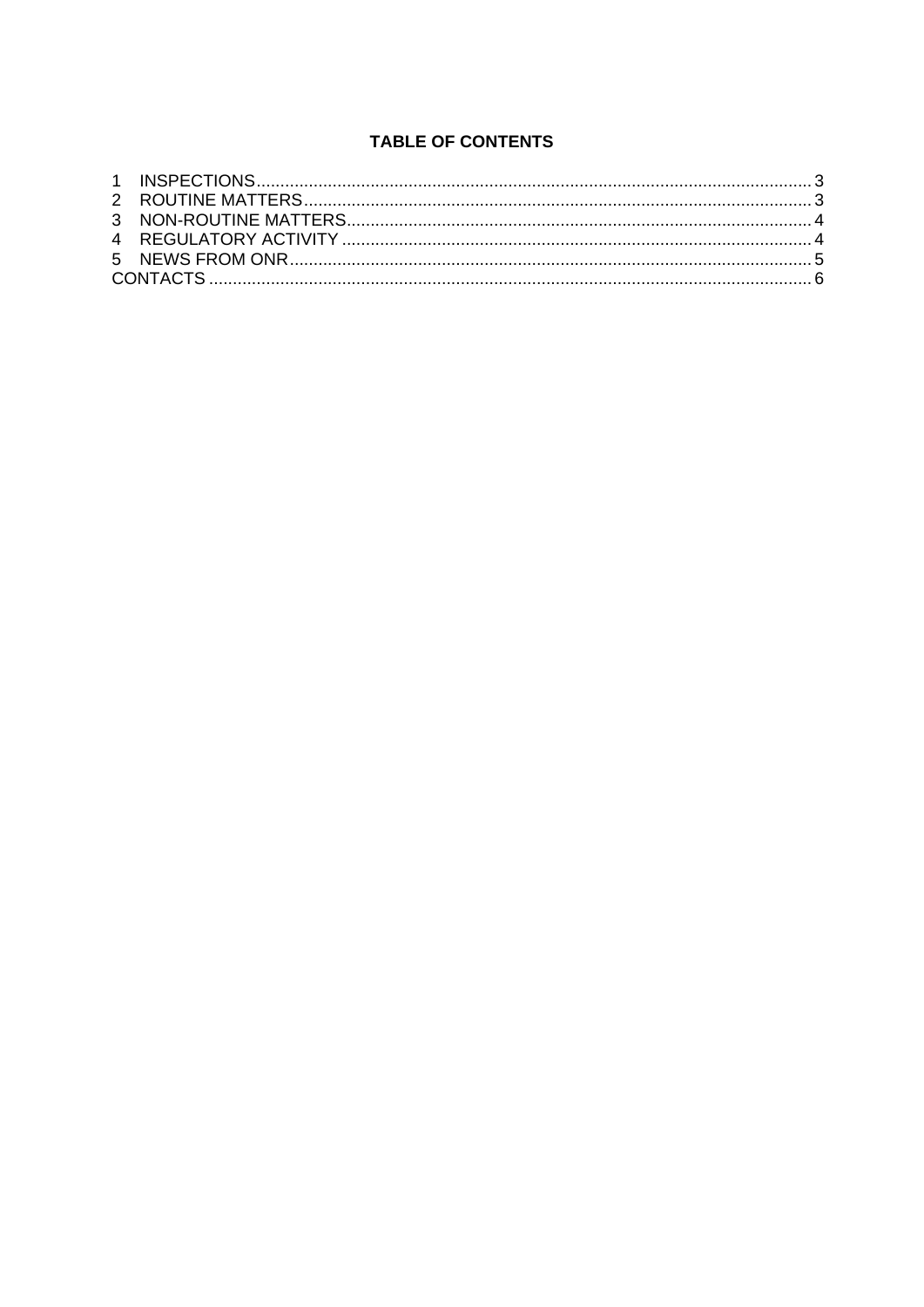# **TABLE OF CONTENTS**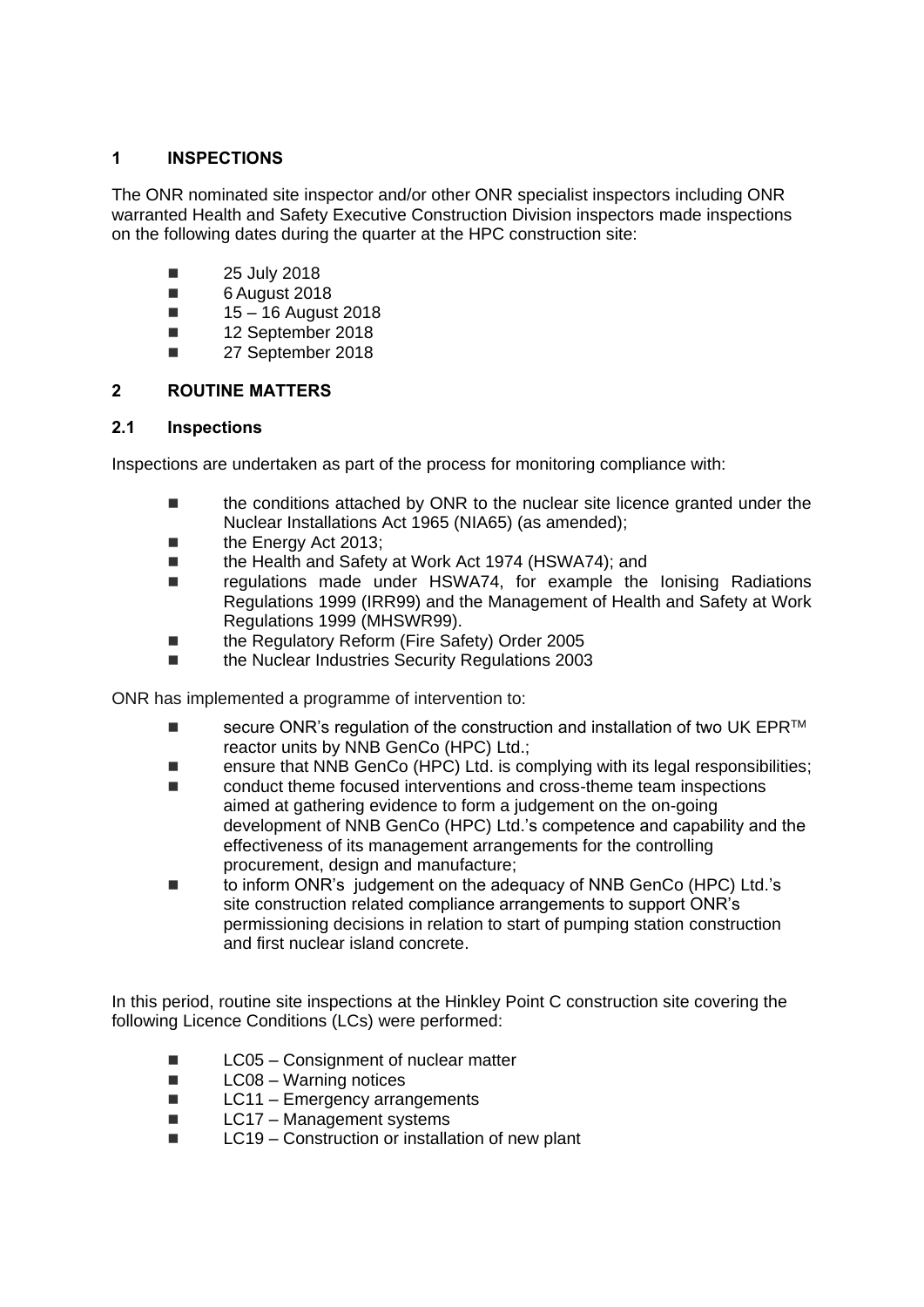## <span id="page-2-0"></span>**1 INSPECTIONS**

The ONR nominated site inspector and/or other ONR specialist inspectors including ONR warranted Health and Safety Executive Construction Division inspectors made inspections on the following dates during the quarter at the HPC construction site:

- $\blacksquare$  25 July 2018
- 6 August 2018
- $15 16$  August 2018
- 12 September 2018
- **27 September 2018**

## <span id="page-2-1"></span>**2 ROUTINE MATTERS**

#### **2.1 Inspections**

Inspections are undertaken as part of the process for monitoring compliance with:

- the conditions attached by ONR to the nuclear site licence granted under the Nuclear Installations Act 1965 (NIA65) (as amended);
- the Energy Act 2013;
- the Health and Safety at Work Act 1974 (HSWA74); and
- regulations made under HSWA74, for example the lonising Radiations Regulations 1999 (IRR99) and the Management of Health and Safety at Work Regulations 1999 (MHSWR99).
- the Regulatory Reform (Fire Safety) Order 2005
- the Nuclear Industries Security Regulations 2003

ONR has implemented a programme of intervention to:

- secure ONR's regulation of the construction and installation of two UK EPR $^{TM}$ reactor units by NNB GenCo (HPC) Ltd.;
- ensure that NNB GenCo (HPC) Ltd. is complying with its legal responsibilities;
- conduct theme focused interventions and cross-theme team inspections aimed at gathering evidence to form a judgement on the on-going development of NNB GenCo (HPC) Ltd.'s competence and capability and the effectiveness of its management arrangements for the controlling procurement, design and manufacture;
- to inform ONR's judgement on the adequacy of NNB GenCo (HPC) Ltd.'s site construction related compliance arrangements to support ONR's permissioning decisions in relation to start of pumping station construction and first nuclear island concrete.

In this period, routine site inspections at the Hinkley Point C construction site covering the following Licence Conditions (LCs) were performed:

- LC05 Consignment of nuclear matter
- $\blacksquare$  LC08 Warning notices
- $\blacksquare$  LC11 Emergency arrangements
- $\blacksquare$  LC17 Management systems
- LC19 Construction or installation of new plant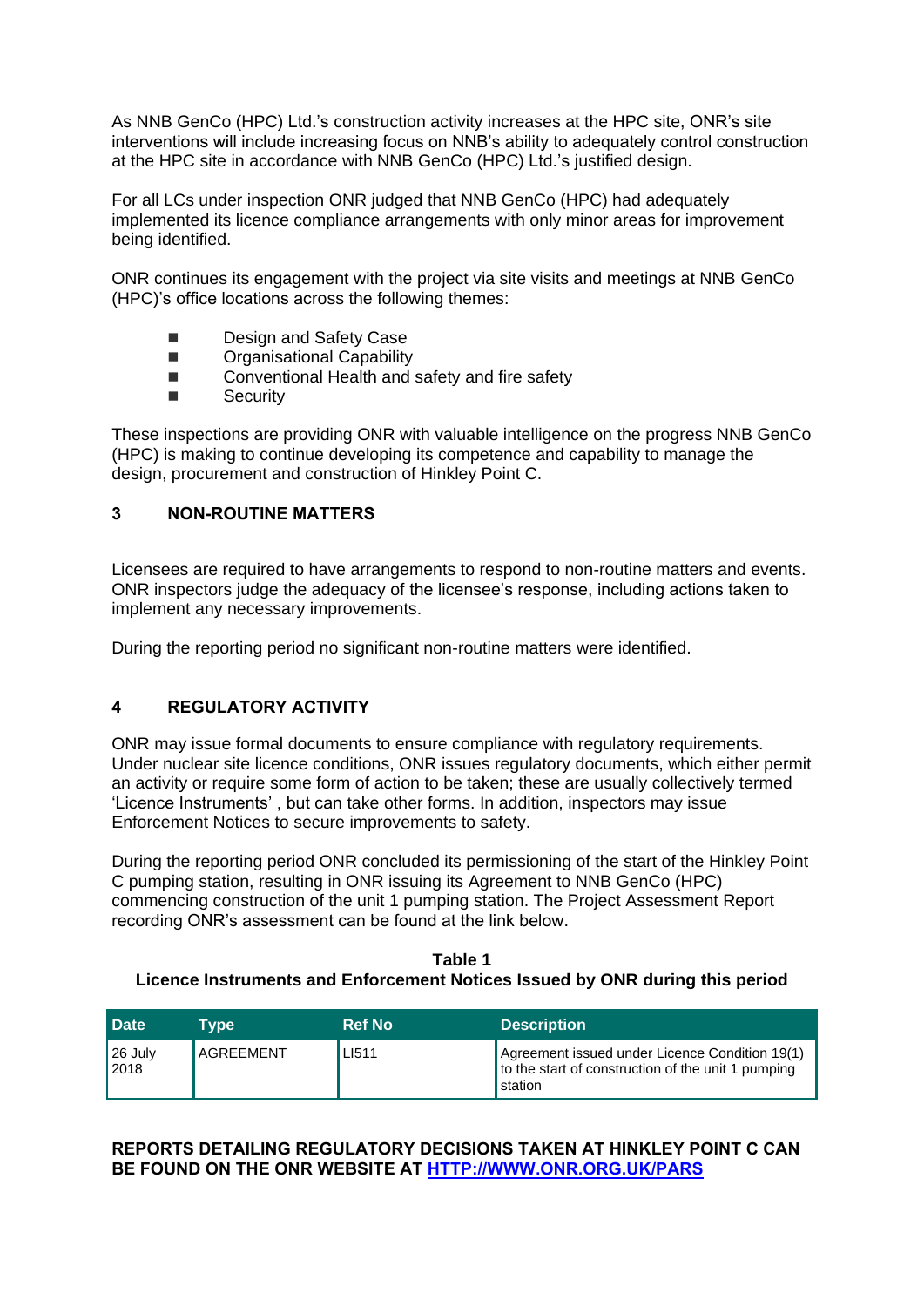As NNB GenCo (HPC) Ltd.'s construction activity increases at the HPC site, ONR's site interventions will include increasing focus on NNB's ability to adequately control construction at the HPC site in accordance with NNB GenCo (HPC) Ltd.'s justified design.

For all LCs under inspection ONR judged that NNB GenCo (HPC) had adequately implemented its licence compliance arrangements with only minor areas for improvement being identified.

ONR continues its engagement with the project via site visits and meetings at NNB GenCo (HPC)'s office locations across the following themes:

- Design and Safety Case
- **Example 20 Dragnizational Capability**
- Conventional Health and safety and fire safety
- Security

These inspections are providing ONR with valuable intelligence on the progress NNB GenCo (HPC) is making to continue developing its competence and capability to manage the design, procurement and construction of Hinkley Point C.

# <span id="page-3-0"></span>**3 NON-ROUTINE MATTERS**

Licensees are required to have arrangements to respond to non-routine matters and events. ONR inspectors judge the adequacy of the licensee's response, including actions taken to implement any necessary improvements.

During the reporting period no significant non-routine matters were identified.

#### <span id="page-3-1"></span>**4 REGULATORY ACTIVITY**

ONR may issue formal documents to ensure compliance with regulatory requirements. Under nuclear site licence conditions, ONR issues regulatory documents, which either permit an activity or require some form of action to be taken; these are usually collectively termed 'Licence Instruments' , but can take other forms. In addition, inspectors may issue Enforcement Notices to secure improvements to safety.

During the reporting period ONR concluded its permissioning of the start of the Hinkley Point C pumping station, resulting in ONR issuing its Agreement to NNB GenCo (HPC) commencing construction of the unit 1 pumping station. The Project Assessment Report recording ONR's assessment can be found at the link below.

**Table 1 Licence Instruments and Enforcement Notices Issued by ONR during this period**

| <b>Date</b>             | Tvpe             | <b>Ref No</b> | <b>Description</b>                                                                                                       |
|-------------------------|------------------|---------------|--------------------------------------------------------------------------------------------------------------------------|
| $\vert$ 26 July<br>2018 | <b>AGREEMENT</b> | LI511         | Agreement issued under Licence Condition 19(1)<br>to the start of construction of the unit 1 pumping<br><b>I</b> station |

#### **REPORTS DETAILING REGULATORY DECISIONS TAKEN AT HINKLEY POINT C CAN BE FOUND ON THE ONR WEBSITE AT [HTTP://WWW.ONR.ORG.UK/PARS](http://www.onr.org.uk/pars/index.htm)**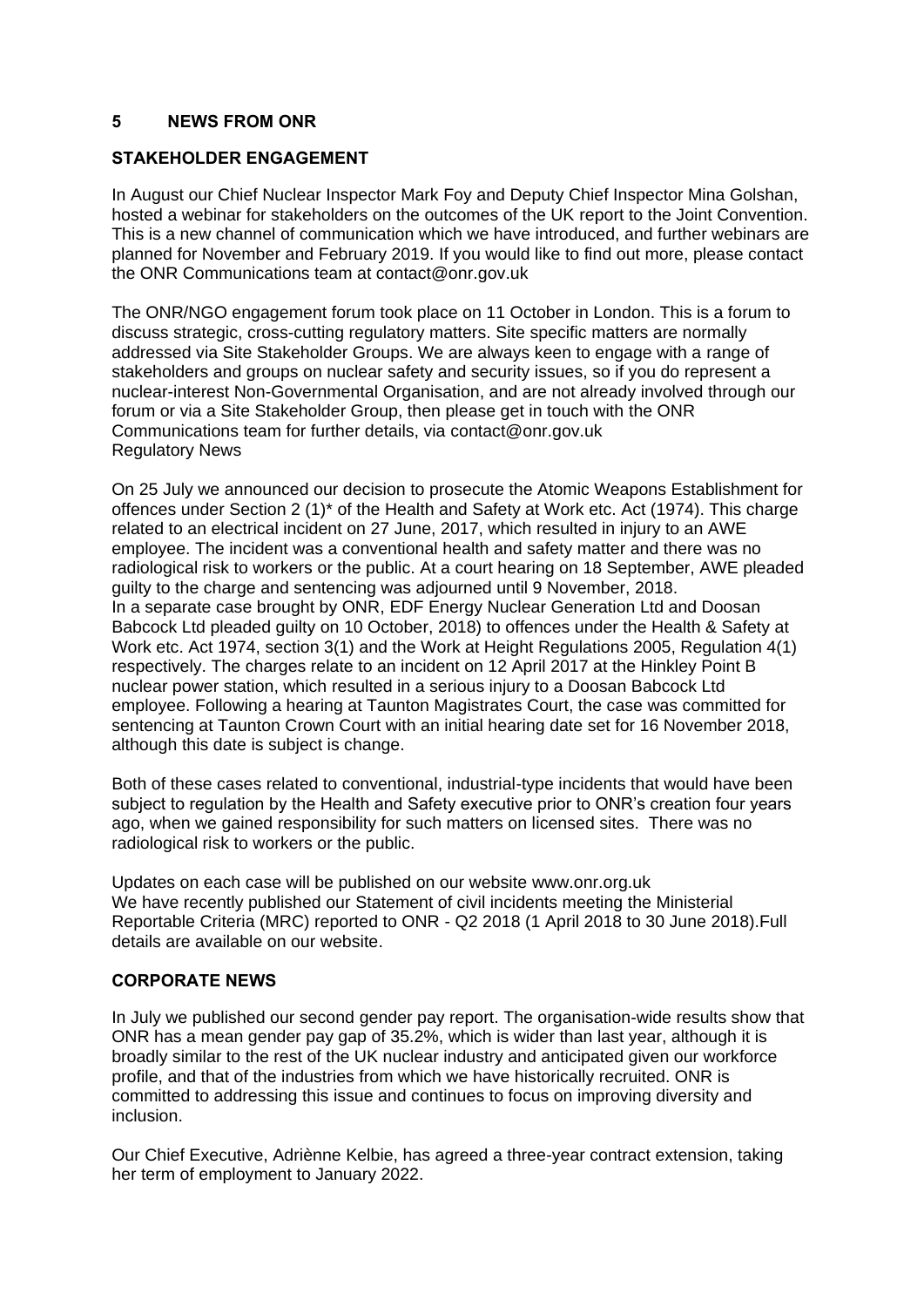#### <span id="page-4-0"></span>**5 NEWS FROM ONR**

#### **STAKEHOLDER ENGAGEMENT**

In August our Chief Nuclear Inspector Mark Foy and Deputy Chief Inspector Mina Golshan, hosted a webinar for stakeholders on the outcomes of the UK report to the Joint Convention. This is a new channel of communication which we have introduced, and further webinars are planned for November and February 2019. If you would like to find out more, please contact the ONR Communications team at contact@onr.gov.uk

The ONR/NGO engagement forum took place on 11 October in London. This is a forum to discuss strategic, cross-cutting regulatory matters. Site specific matters are normally addressed via Site Stakeholder Groups. We are always keen to engage with a range of stakeholders and groups on nuclear safety and security issues, so if you do represent a nuclear-interest Non-Governmental Organisation, and are not already involved through our forum or via a Site Stakeholder Group, then please get in touch with the ONR Communications team for further details, via [contact@onr.gov.uk](mailto:contact@onr.gov.uk) Regulatory News

On 25 July we announced our decision to prosecute the Atomic Weapons Establishment for offences under Section 2 (1)\* of the Health and Safety at Work etc. Act (1974). This charge related to an electrical incident on 27 June, 2017, which resulted in injury to an AWE employee. The incident was a conventional health and safety matter and there was no radiological risk to workers or the public. At a court hearing on 18 September, AWE pleaded guilty to the charge and sentencing was adjourned until 9 November, 2018. In a separate case brought by ONR, EDF Energy Nuclear Generation Ltd and Doosan Babcock Ltd pleaded guilty on 10 October, 2018) to offences under the Health & Safety at Work etc. Act 1974, section 3(1) and the Work at Height Regulations 2005, Regulation 4(1) respectively. The charges relate to an incident on 12 April 2017 at the Hinkley Point B nuclear power station, which resulted in a serious injury to a Doosan Babcock Ltd employee. Following a hearing at Taunton Magistrates Court, the case was committed for sentencing at Taunton Crown Court with an initial hearing date set for 16 November 2018, although this date is subject is change.

Both of these cases related to conventional, industrial-type incidents that would have been subject to regulation by the Health and Safety executive prior to ONR's creation four years ago, when we gained responsibility for such matters on licensed sites. There was no radiological risk to workers or the public.

Updates on each case will be published on our website [www.onr.org.uk](http://www.onr.org.uk/) We have recently published our [Statement of civil incidents](http://www.onr.org.uk/quarterly-stat/2018-2.htm) meeting the Ministerial Reportable Criteria (MRC) reported to ONR - Q2 2018 (1 April 2018 to 30 June 2018).Full details are available on our [website.](http://www.onr.org.uk/quarterly-stat/2018-2.htm)

#### **CORPORATE NEWS**

In July we published our second [gender pay report.](http://news.onr.org.uk/2018/07/onr-publishes-second-gender-pay-report/) The organisation-wide results show that ONR has a mean gender pay gap of 35.2%, which is wider than last year, although it is broadly similar to the rest of the UK nuclear industry and anticipated given our workforce profile, and that of the industries from which we have historically recruited. ONR is committed to addressing this issue and continues to focus on improving diversity and inclusion.

Our Chief Executive, Adriènne Kelbie, has agreed a three-year contract extension, taking her term of employment to January 2022.